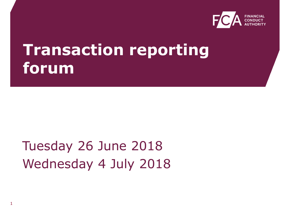

## **Transaction reporting forum**

#### Tuesday 26 June 2018 Wednesday 4 July 2018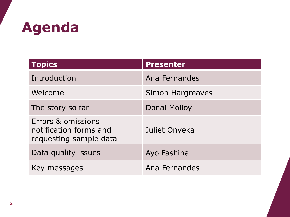## **Agenda**

| <b>Topics</b>                                                          | <b>Presenter</b>        |
|------------------------------------------------------------------------|-------------------------|
| Introduction                                                           | Ana Fernandes           |
| Welcome                                                                | <b>Simon Hargreaves</b> |
| The story so far                                                       | Donal Molloy            |
| Errors & omissions<br>notification forms and<br>requesting sample data | Juliet Onyeka           |
| Data quality issues                                                    | Ayo Fashina             |
| Key messages                                                           | Ana Fernandes           |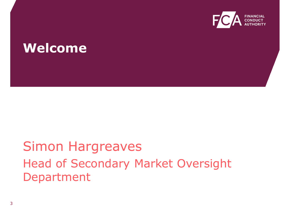

#### **Welcome**

#### Simon Hargreaves Head of Secondary Market Oversight Department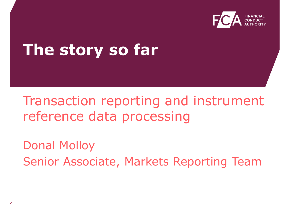

## **The story so far**

#### Transaction reporting and instrument reference data processing

Donal Molloy Senior Associate, Markets Reporting Team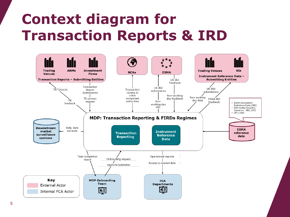### **Context diagram for Transaction Reports & IRD**

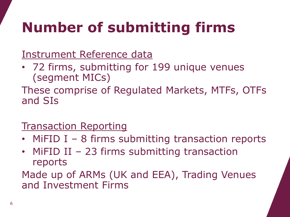## **Number of submitting firms**

Instrument Reference data

• 72 firms, submitting for 199 unique venues (segment MICs)

These comprise of Regulated Markets, MTFs, OTFs and SIs

#### **Transaction Reporting**

- MiFID I 8 firms submitting transaction reports
- MiFID II 23 firms submitting transaction reports

Made up of ARMs (UK and EEA), Trading Venues and Investment Firms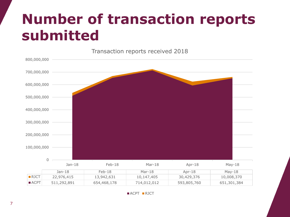### **Number of transaction reports submitted**



 $ACPT$  **RJCT**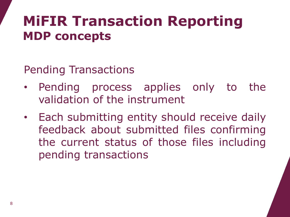Pending Transactions

- Pending process applies only to the validation of the instrument
- Each submitting entity should receive daily feedback about submitted files confirming the current status of those files including pending transactions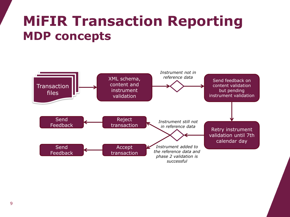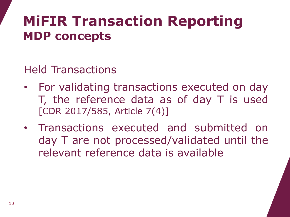Held Transactions

- For validating transactions executed on day T, the reference data as of day T is used [CDR 2017/585, Article 7(4)]
- Transactions executed and submitted on day T are not processed/validated until the relevant reference data is available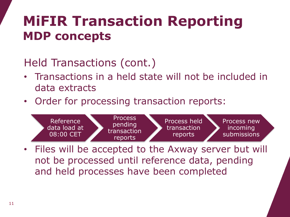#### Held Transactions (cont.)

- Transactions in a held state will not be included in data extracts
- Order for processing transaction reports:



• Files will be accepted to the Axway server but will not be processed until reference data, pending and held processes have been completed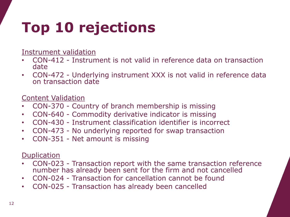## **Top 10 rejections**

Instrument validation

- CON-412 Instrument is not valid in reference data on transaction date
- CON-472 Underlying instrument XXX is not valid in reference data on transaction date

Content Validation

- CON-370 Country of branch membership is missing
- CON-640 Commodity derivative indicator is missing
- CON-430 Instrument classification identifier is incorrect
- CON-473 No underlying reported for swap transaction
- CON-351 Net amount is missing

#### **Duplication**

- CON-023 Transaction report with the same transaction reference number has already been sent for the firm and not cancelled
- CON-024 Transaction for cancellation cannot be found
- CON-025 Transaction has already been cancelled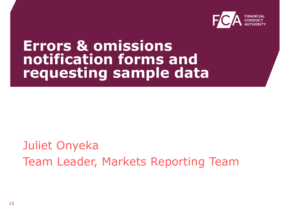

#### **Errors & omissions notification forms and requesting sample data**

Juliet Onyeka Team Leader, Markets Reporting Team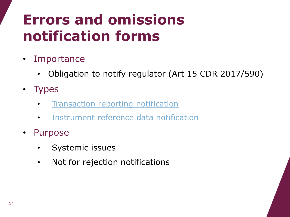## **Errors and omissions notification forms**

- Importance
	- Obligation to notify regulator (Art 15 CDR 2017/590)
- Types
	- [Transaction reporting notification](https://www.fca.org.uk/publication/forms/transaction-reporting-errors-and-omissions-notification-form.docx)
	- [Instrument reference data notification](https://www.fca.org.uk/publication/forms/instrument-reference-data-errors-and-omissions-notification-form.docx)
- Purpose
	- Systemic issues
	- Not for rejection notifications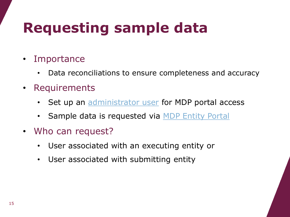## **Requesting sample data**

- **Importance** 
	- Data reconciliations to ensure completeness and accuracy
- Requirements
	- Set up an [administrator user](https://www.fca.org.uk/publication/forms/mdp-administrator-user-registration-form.docx) for MDP portal access
	- Sample data is requested via [MDP Entity Portal](https://portal.mdp.fca.org.uk/mdpfca/sites/MDPUserPortal/home.html)
- Who can request?
	- User associated with an executing entity or
	- User associated with submitting entity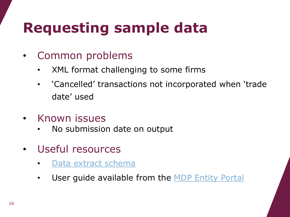## **Requesting sample data**

- Common problems
	- XML format challenging to some firms
	- 'Cancelled' transactions not incorporated when 'trade date' used
- Known issues
	- No submission date on output
- Useful resources
	- [Data extract schema](https://www.fca.org.uk/publication/forms/mdp-transaction-report-data-extract-schema.xsd)
	- User guide available from the [MDP Entity Portal](https://portal.mdp.fca.org.uk/mdpfca/sites/MDPUserPortal/home.html)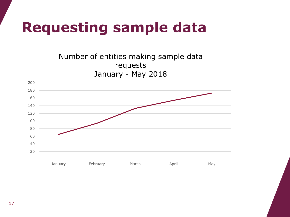### **Requesting sample data**

Number of entities making sample data requests January - May 2018

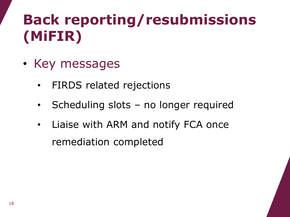## **Back reporting/resubmissions (MiFIR)**

- Key messages
	- FIRDS related rejections
	- Scheduling slots no longer required
	- Liaise with ARM and notify FCA once remediation completed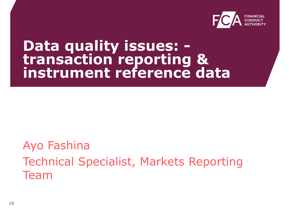

#### **Data quality issues: transaction reporting & instrument reference data**

#### Ayo Fashina Technical Specialist, Markets Reporting Team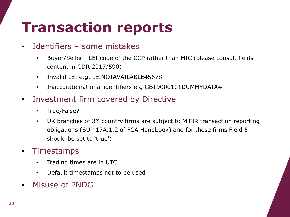#### **Transaction reports**

#### Identifiers - some mistakes

- Buyer/Seller LEI code of the CCP rather than MIC (please consult fields content in CDR 2017/590)
- Invalid LEI e.g. LEINOTAVAILABLE45678
- Inaccurate national identifiers e.g GB19000101DUMMYDATA#
- Investment firm covered by Directive
	- True/False?
	- UK branches of 3<sup>rd</sup> country firms are subject to MiFIR transaction reporting obligations (SUP 17A.1.2 of FCA Handbook) and for these firms Field 5 should be set to 'true')

#### **Timestamps**

- Trading times are in UTC
- Default timestamps not to be used
- Misuse of PNDG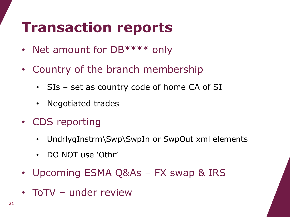### **Transaction reports**

- Net amount for DB\*\*\*\* only
- Country of the branch membership
	- SIs set as country code of home CA of SI
	- Negotiated trades
- CDS reporting
	- UndrlygInstrm\Swp\SwpIn or SwpOut xml elements
	- DO NOT use 'Othr'
- Upcoming ESMA Q&As FX swap & IRS
- ToTV under review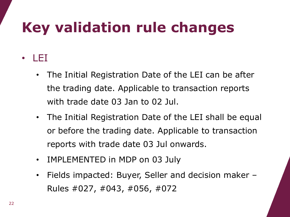## **Key validation rule changes**

#### • LEI

- The Initial Registration Date of the LEI can be after the trading date. Applicable to transaction reports with trade date 03 Jan to 02 Jul.
- The Initial Registration Date of the LEI shall be equal or before the trading date. Applicable to transaction reports with trade date 03 Jul onwards.
- IMPLEMENTED in MDP on 03 July
- Fields impacted: Buyer, Seller and decision maker Rules #027, #043, #056, #072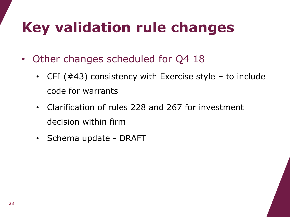## **Key validation rule changes**

- Other changes scheduled for Q4 18
	- CFI  $(#43)$  consistency with Exercise style to include code for warrants
	- Clarification of rules 228 and 267 for investment decision within firm
	- Schema update DRAFT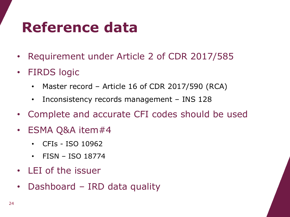### **Reference data**

- Requirement under Article 2 of CDR 2017/585
- FIRDS logic
	- Master record Article 16 of CDR 2017/590 (RCA)
	- Inconsistency records management INS 128
- Complete and accurate CFI codes should be used
- ESMA Q&A item#4
	- CFIs ISO 10962
	- FISN ISO 18774
- LEI of the issuer
- Dashboard IRD data quality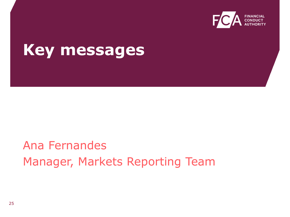

#### **Key messages**

#### Ana Fernandes Manager, Markets Reporting Team

25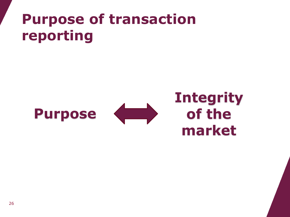### **Purpose of transaction reporting**





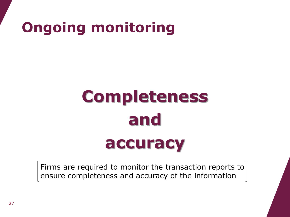## **Ongoing monitoring**

# **Completeness and accuracy**

Firms are required to monitor the transaction reports to ensure completeness and accuracy of the information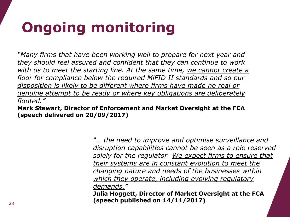## **Ongoing monitoring**

*"Many firms that have been working well to prepare for next year and they should feel assured and confident that they can continue to work*  with us to meet the starting line. At the same time, we cannot create a *floor for compliance below the required MiFID II standards and so our disposition is likely to be different where firms have made no real or genuine attempt to be ready or where key obligations are deliberately flouted."*

**Mark Stewart, Director of Enforcement and Market Oversight at the FCA (speech delivered on 20/09/2017)**

> *"… the need to improve and optimise surveillance and disruption capabilities cannot be seen as a role reserved solely for the regulator. We expect firms to ensure that their systems are in constant evolution to meet the changing nature and needs of the businesses within which they operate, including evolving regulatory demands."*

**Julia Hoggett, Director of Market Oversight at the FCA (speech published on 14/11/2017)**